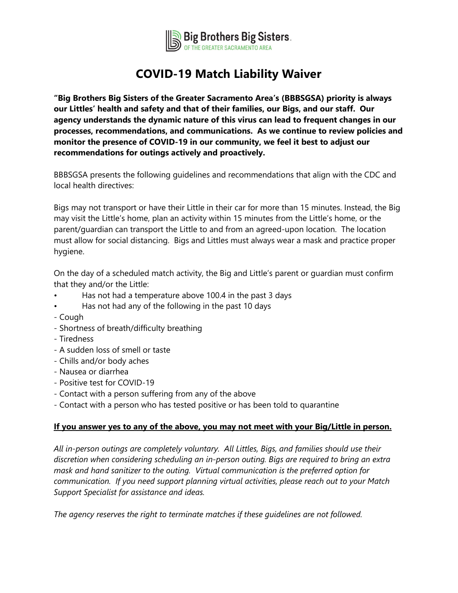

## **COVID-19 Match Liability Waiver**

**"Big Brothers Big Sisters of the Greater Sacramento Area's (BBBSGSA) priority is always our Littles' health and safety and that of their families, our Bigs, and our staff. Our agency understands the dynamic nature of this virus can lead to frequent changes in our processes, recommendations, and communications. As we continue to review policies and monitor the presence of COVID-19 in our community, we feel it best to adjust our recommendations for outings actively and proactively.** 

BBBSGSA presents the following guidelines and recommendations that align with the CDC and local health directives:

Bigs may not transport or have their Little in their car for more than 15 minutes. Instead, the Big may visit the Little's home, plan an activity within 15 minutes from the Little's home, or the parent/guardian can transport the Little to and from an agreed-upon location. The location must allow for social distancing. Bigs and Littles must always wear a mask and practice proper hygiene.

On the day of a scheduled match activity, the Big and Little's parent or guardian must confirm that they and/or the Little:

- Has not had a temperature above 100.4 in the past 3 days
- Has not had any of the following in the past 10 days
- Cough
- Shortness of breath/difficulty breathing
- Tiredness
- A sudden loss of smell or taste
- Chills and/or body aches
- Nausea or diarrhea
- Positive test for COVID-19
- Contact with a person suffering from any of the above
- Contact with a person who has tested positive or has been told to quarantine

## **If you answer yes to any of the above, you may not meet with your Big/Little in person.**

*All in-person outings are completely voluntary. All Littles, Bigs, and families should use their discretion when considering scheduling an in-person outing. Bigs are required to bring an extra mask and hand sanitizer to the outing. Virtual communication is the preferred option for communication. If you need support planning virtual activities, please reach out to your Match Support Specialist for assistance and ideas.*

*The agency reserves the right to terminate matches if these guidelines are not followed.*